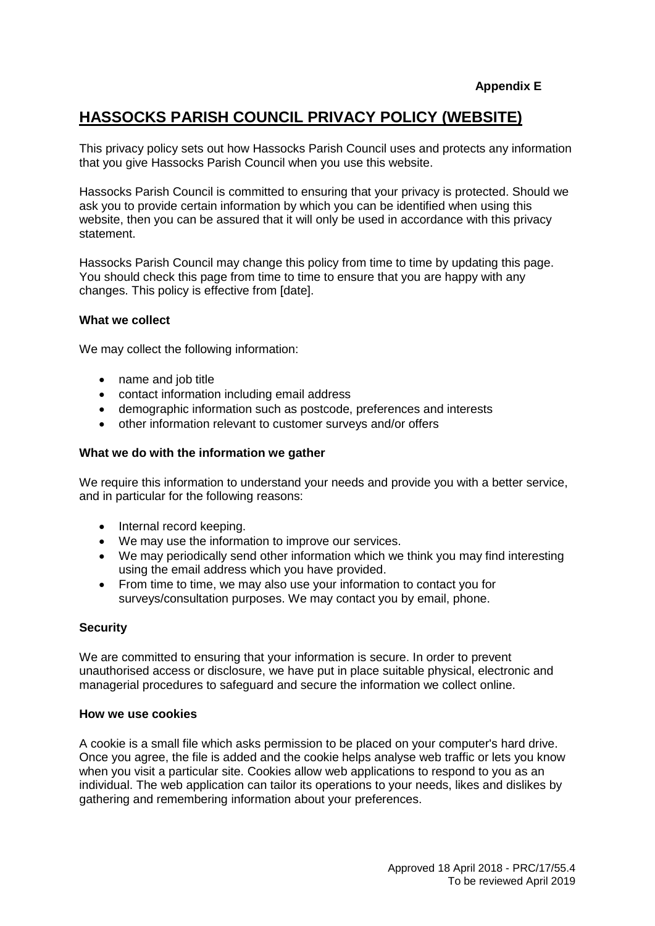# **HASSOCKS PARISH COUNCIL PRIVACY POLICY (WEBSITE)**

This privacy policy sets out how Hassocks Parish Council uses and protects any information that you give Hassocks Parish Council when you use this website.

Hassocks Parish Council is committed to ensuring that your privacy is protected. Should we ask you to provide certain information by which you can be identified when using this website, then you can be assured that it will only be used in accordance with this privacy statement.

Hassocks Parish Council may change this policy from time to time by updating this page. You should check this page from time to time to ensure that you are happy with any changes. This policy is effective from [date].

#### **What we collect**

We may collect the following information:

- name and job title
- contact information including email address
- demographic information such as postcode, preferences and interests
- other information relevant to customer surveys and/or offers

#### **What we do with the information we gather**

We require this information to understand your needs and provide you with a better service, and in particular for the following reasons:

- Internal record keeping.
- We may use the information to improve our services.
- We may periodically send other information which we think you may find interesting using the email address which you have provided.
- From time to time, we may also use your information to contact you for surveys/consultation purposes. We may contact you by email, phone.

# **Security**

We are committed to ensuring that your information is secure. In order to prevent unauthorised access or disclosure, we have put in place suitable physical, electronic and managerial procedures to safeguard and secure the information we collect online.

#### **How we use cookies**

A cookie is a small file which asks permission to be placed on your computer's hard drive. Once you agree, the file is added and the cookie helps analyse web traffic or lets you know when you visit a particular site. Cookies allow web applications to respond to you as an individual. The web application can tailor its operations to your needs, likes and dislikes by gathering and remembering information about your preferences.